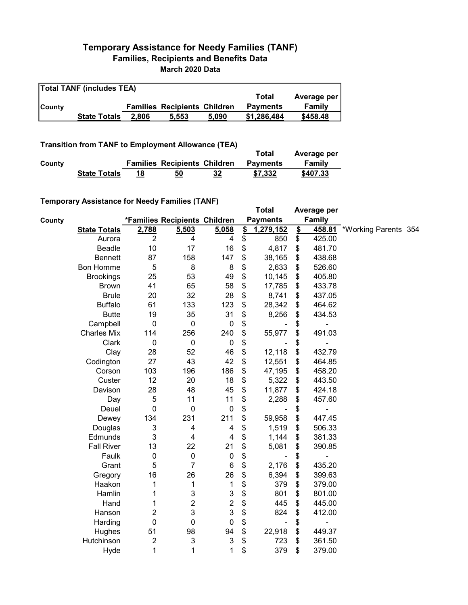## Temporary Assistance for Needy Families (TANF) Families, Recipients and Benefits Data March 2020 Data

| <b>Total TANF (includes TEA)</b> |                     |       |                                     |       |                 |             |  |  |  |
|----------------------------------|---------------------|-------|-------------------------------------|-------|-----------------|-------------|--|--|--|
|                                  |                     |       |                                     |       | Total           | Average per |  |  |  |
| <b>County</b>                    |                     |       | <b>Families Recipients Children</b> |       | <b>Payments</b> | Family      |  |  |  |
|                                  | <b>State Totals</b> | 2.806 | 5.553                               | 5.090 | \$1,286,484     | \$458.48    |  |  |  |

Transition from TANF to Employment Allowance (TEA)

|        | <b>ITAIISIUUII IIUIII TANT LU EIIIPIUVIIIEIIL AIIUWAIICE (TEA)</b> |    |                                     |    | Total           | Average per |
|--------|--------------------------------------------------------------------|----|-------------------------------------|----|-----------------|-------------|
| County |                                                                    |    | <b>Families Recipients Children</b> |    | <b>Payments</b> | Family      |
|        | <b>State Totals</b>                                                | 18 | 50                                  | 32 | \$7,332         | \$407.33    |

## Temporary Assistance for Needy Families (TANF)

|        | $\frac{1}{2}$ Assistance for recease animes (FAM ) |                  |                               |                           |                         | <b>Total</b>    |                         | Average per |                      |  |
|--------|----------------------------------------------------|------------------|-------------------------------|---------------------------|-------------------------|-----------------|-------------------------|-------------|----------------------|--|
| County |                                                    |                  | *Families Recipients Children |                           |                         | <b>Payments</b> |                         | Family      |                      |  |
|        | <b>State Totals</b>                                | 2,788            | 5,503                         | 5,058                     | $\overline{\mathbf{2}}$ | 1,279,152       | $\overline{\mathbf{S}}$ | 458.81      | *Working Parents 354 |  |
|        | Aurora                                             | $\overline{c}$   | 4                             | 4                         | \$                      | 850             | \$                      | 425.00      |                      |  |
|        | <b>Beadle</b>                                      | 10               | 17                            | 16                        | \$                      | 4,817           | \$                      | 481.70      |                      |  |
|        | <b>Bennett</b>                                     | 87               | 158                           | 147                       | \$                      | 38,165          | \$                      | 438.68      |                      |  |
|        | Bon Homme                                          | 5                | 8                             | 8                         | \$                      | 2,633           | \$                      | 526.60      |                      |  |
|        | <b>Brookings</b>                                   | 25               | 53                            | 49                        | \$                      | 10,145          | \$                      | 405.80      |                      |  |
|        | <b>Brown</b>                                       | 41               | 65                            | 58                        | \$                      | 17,785          | \$                      | 433.78      |                      |  |
|        | <b>Brule</b>                                       | 20               | 32                            | 28                        | \$                      | 8,741           | \$                      | 437.05      |                      |  |
|        | <b>Buffalo</b>                                     | 61               | 133                           | 123                       | \$                      | 28,342          | \$                      | 464.62      |                      |  |
|        | <b>Butte</b>                                       | 19               | 35                            | 31                        | \$                      | 8,256           | \$                      | 434.53      |                      |  |
|        | Campbell                                           | $\boldsymbol{0}$ | $\pmb{0}$                     | $\pmb{0}$                 | \$                      |                 | \$                      |             |                      |  |
|        | <b>Charles Mix</b>                                 | 114              | 256                           | 240                       | \$                      | 55,977          | \$                      | 491.03      |                      |  |
|        | Clark                                              | $\boldsymbol{0}$ | $\pmb{0}$                     | $\mathbf 0$               | \$                      |                 | \$                      |             |                      |  |
|        | Clay                                               | 28               | 52                            | 46                        | \$                      | 12,118          | \$                      | 432.79      |                      |  |
|        | Codington                                          | 27               | 43                            | 42                        | \$                      | 12,551          | \$                      | 464.85      |                      |  |
|        | Corson                                             | 103              | 196                           | 186                       | \$                      | 47,195          | \$                      | 458.20      |                      |  |
|        | Custer                                             | 12               | 20                            | 18                        | \$                      | 5,322           | \$                      | 443.50      |                      |  |
|        | Davison                                            | 28               | 48                            | 45                        | \$                      | 11,877          | \$                      | 424.18      |                      |  |
|        | Day                                                | 5                | 11                            | 11                        | \$                      | 2,288           | \$                      | 457.60      |                      |  |
|        | Deuel                                              | $\mathbf 0$      | $\mathbf 0$                   | $\boldsymbol{0}$          | \$                      |                 | \$                      |             |                      |  |
|        | Dewey                                              | 134              | 231                           | 211                       | \$                      | 59,958          | \$                      | 447.45      |                      |  |
|        | Douglas                                            | 3                | 4                             | 4                         | \$                      | 1,519           | \$                      | 506.33      |                      |  |
|        | Edmunds                                            | 3                | 4                             | $\overline{4}$            | \$                      | 1,144           | \$                      | 381.33      |                      |  |
|        | <b>Fall River</b>                                  | 13               | 22                            | 21                        | \$                      | 5,081           | \$                      | 390.85      |                      |  |
|        | Faulk                                              | $\mathbf 0$      | $\pmb{0}$                     | $\mathbf 0$               | \$                      |                 | \$                      |             |                      |  |
|        | Grant                                              | 5                | $\overline{7}$                | $\,6$                     | \$                      | 2,176           | \$                      | 435.20      |                      |  |
|        | Gregory                                            | 16               | 26                            | 26                        | \$                      | 6,394           | \$                      | 399.63      |                      |  |
|        | Haakon                                             | 1                | 1                             | 1                         | \$                      | 379             | \$                      | 379.00      |                      |  |
|        | Hamlin                                             | 1                | 3                             | $\ensuremath{\mathsf{3}}$ | \$                      | 801             | \$                      | 801.00      |                      |  |
|        | Hand                                               | 1                | $\overline{c}$                | $\boldsymbol{2}$          | \$                      | 445             | \$                      | 445.00      |                      |  |
|        | Hanson                                             | 2                | 3                             | 3                         | \$                      | 824             | \$                      | 412.00      |                      |  |
|        | Harding                                            | $\mathbf 0$      | $\mathbf 0$                   | 0                         | \$                      | $\blacksquare$  | \$                      |             |                      |  |
|        | Hughes                                             | 51               | 98                            | 94                        | \$                      | 22,918          | \$                      | 449.37      |                      |  |
|        | Hutchinson                                         | $\overline{c}$   | 3                             | 3                         | \$                      | 723             | \$                      | 361.50      |                      |  |
|        | Hyde                                               | 1                | 1                             | 1                         | \$                      | 379             | \$                      | 379.00      |                      |  |